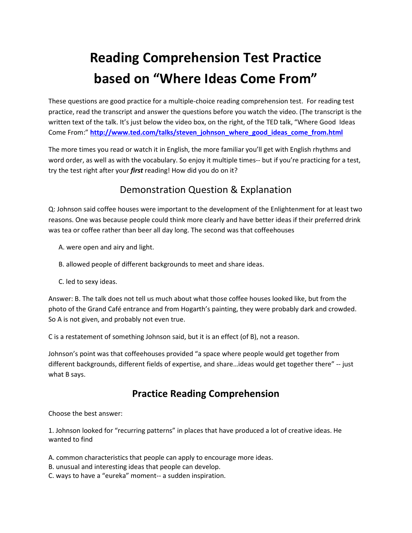## **Reading Comprehension Test Practice based on "Where Ideas Come From"**

These questions are good practice for a multiple-choice reading comprehension test. For reading test practice, read the transcript and answer the questions before you watch the video. (The transcript is the written text of the talk. It's just below the video box, on the right, of the TED talk, "Where Good Ideas Come From:" http://www.ted.com/talks/steven\_johnson\_where\_good\_ideas\_come\_from.html

The more times you read or watch it in English, the more familiar you'll get with English rhythms and word order, as well as with the vocabulary. So enjoy it multiple times-- but if you're practicing for a test, try the test right after your *first* reading! How did you do on it?

## Demonstration Question & Explanation

Q: Johnson said coffee houses were important to the development of the Enlightenment for at least two reasons. One was because people could think more clearly and have better ideas if their preferred drink was tea or coffee rather than beer all day long. The second was that coffeehouses

- A. were open and airy and light.
- B. allowed people of different backgrounds to meet and share ideas.
- C. led to sexy ideas.

Answer: B. The talk does not tell us much about what those coffee houses looked like, but from the photo of the Grand Café entrance and from Hogarth's painting, they were probably dark and crowded. So A is not given, and probably not even true.

C is a restatement of something Johnson said, but it is an effect (of B), not a reason.

Johnson's point was that coffeehouses provided "a space where people would get together from different backgrounds, different fields of expertise, and share…ideas would get together there" -- just what B says.

## **Practice Reading Comprehension**

Choose the best answer:

1. Johnson looked for "recurring patterns" in places that have produced a lot of creative ideas. He wanted to find

A. common characteristics that people can apply to encourage more ideas.

- B. unusual and interesting ideas that people can develop.
- C. ways to have a "eureka" moment-- a sudden inspiration.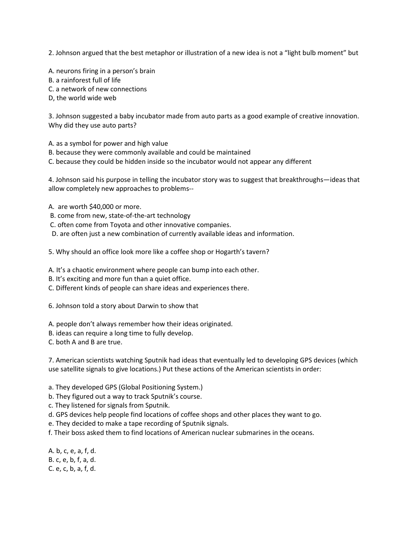2. Johnson argued that the best metaphor or illustration of a new idea is not a "light bulb moment" but

A. neurons firing in a person's brain

- B. a rainforest full of life
- C. a network of new connections
- D, the world wide web

3. Johnson suggested a baby incubator made from auto parts as a good example of creative innovation. Why did they use auto parts?

- A. as a symbol for power and high value
- B. because they were commonly available and could be maintained
- C. because they could be hidden inside so the incubator would not appear any different

4. Johnson said his purpose in telling the incubator story was to suggest that breakthroughs—ideas that allow completely new approaches to problems--

- A. are worth \$40,000 or more.
- B. come from new, state-of-the-art technology
- C. often come from Toyota and other innovative companies.
- D. are often just a new combination of currently available ideas and information.
- 5. Why should an office look more like a coffee shop or Hogarth's tavern?
- A. It's a chaotic environment where people can bump into each other.
- B. It's exciting and more fun than a quiet office.
- C. Different kinds of people can share ideas and experiences there.
- 6. Johnson told a story about Darwin to show that
- A. people don't always remember how their ideas originated.
- B. ideas can require a long time to fully develop.
- C. both A and B are true.

7. American scientists watching Sputnik had ideas that eventually led to developing GPS devices (which use satellite signals to give locations.) Put these actions of the American scientists in order:

- a. They developed GPS (Global Positioning System.)
- b. They figured out a way to track Sputnik's course.
- c. They listened for signals from Sputnik.
- d. GPS devices help people find locations of coffee shops and other places they want to go.
- e. They decided to make a tape recording of Sputnik signals.
- f. Their boss asked them to find locations of American nuclear submarines in the oceans.
- A. b, c, e, a, f, d. B. c, e, b, f, a, d. C. e, c, b, a, f, d.